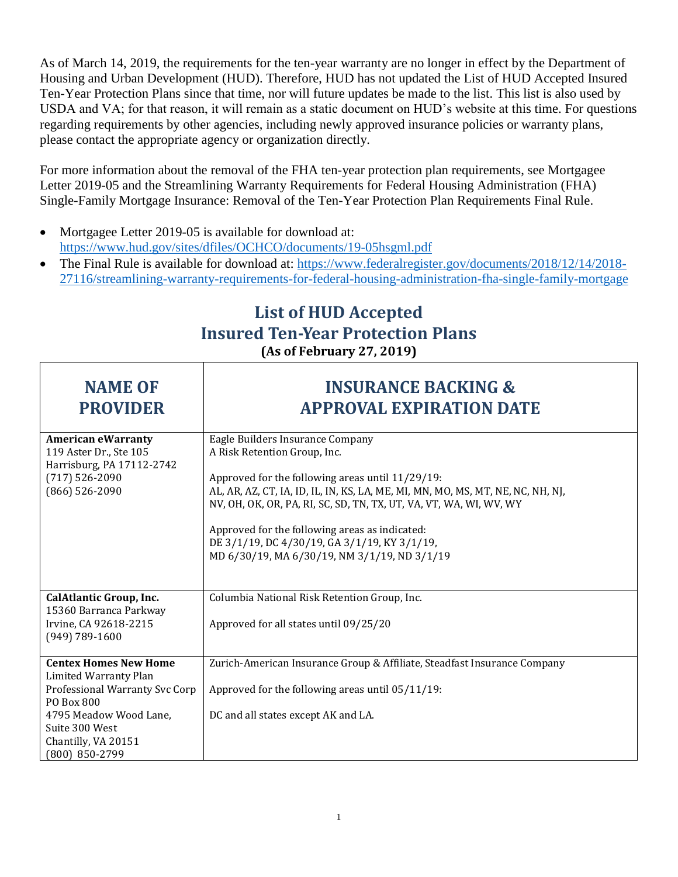As of March 14, 2019, the requirements for the ten-year warranty are no longer in effect by the Department of Housing and Urban Development (HUD). Therefore, HUD has not updated the List of HUD Accepted Insured Ten-Year Protection Plans since that time, nor will future updates be made to the list. This list is also used by USDA and VA; for that reason, it will remain as a static document on HUD's website at this time. For questions regarding requirements by other agencies, including newly approved insurance policies or warranty plans, please contact the appropriate agency or organization directly.

For more information about the removal of the FHA ten-year protection plan requirements, see Mortgagee Letter 2019-05 and the Streamlining Warranty Requirements for Federal Housing Administration (FHA) Single-Family Mortgage Insurance: Removal of the Ten-Year Protection Plan Requirements Final Rule.

- Mortgagee Letter 2019-05 is available for download at: <https://www.hud.gov/sites/dfiles/OCHCO/documents/19-05hsgml.pdf>
- The Final Rule is available for download at: [https://www.federalregister.gov/documents/2018/12/14/2018-](https://www.federalregister.gov/documents/2018/12/14/2018-27116/streamlining-warranty-requirements-for-federal-housing-administration-fha-single-family-mortgage) [27116/streamlining-warranty-requirements-for-federal-housing-administration-fha-single-family-mortgage](https://www.federalregister.gov/documents/2018/12/14/2018-27116/streamlining-warranty-requirements-for-federal-housing-administration-fha-single-family-mortgage)

## **List of HUD Accepted Insured Ten-Year Protection Plans (As of February 27, 2019)**

| <b>NAME OF</b><br><b>PROVIDER</b>                                                                                                                                                          | <b>INSURANCE BACKING &amp;</b><br><b>APPROVAL EXPIRATION DATE</b>                                                                                                                                                                                                                                                                                                                                                               |
|--------------------------------------------------------------------------------------------------------------------------------------------------------------------------------------------|---------------------------------------------------------------------------------------------------------------------------------------------------------------------------------------------------------------------------------------------------------------------------------------------------------------------------------------------------------------------------------------------------------------------------------|
| <b>American eWarranty</b><br>119 Aster Dr., Ste 105<br>Harrisburg, PA 17112-2742<br>$(717) 526 - 2090$<br>(866) 526-2090                                                                   | Eagle Builders Insurance Company<br>A Risk Retention Group, Inc.<br>Approved for the following areas until 11/29/19:<br>AL, AR, AZ, CT, IA, ID, IL, IN, KS, LA, ME, MI, MN, MO, MS, MT, NE, NC, NH, NJ,<br>NV, OH, OK, OR, PA, RI, SC, SD, TN, TX, UT, VA, VT, WA, WI, WV, WY<br>Approved for the following areas as indicated:<br>DE 3/1/19, DC 4/30/19, GA 3/1/19, KY 3/1/19,<br>MD 6/30/19, MA 6/30/19, NM 3/1/19, ND 3/1/19 |
| <b>CalAtlantic Group, Inc.</b><br>15360 Barranca Parkway<br>Irvine, CA 92618-2215<br>$(949)$ 789-1600                                                                                      | Columbia National Risk Retention Group, Inc.<br>Approved for all states until 09/25/20                                                                                                                                                                                                                                                                                                                                          |
| <b>Centex Homes New Home</b><br>Limited Warranty Plan<br>Professional Warranty Svc Corp<br>PO Box 800<br>4795 Meadow Wood Lane,<br>Suite 300 West<br>Chantilly, VA 20151<br>(800) 850-2799 | Zurich-American Insurance Group & Affiliate, Steadfast Insurance Company<br>Approved for the following areas until 05/11/19:<br>DC and all states except AK and LA.                                                                                                                                                                                                                                                             |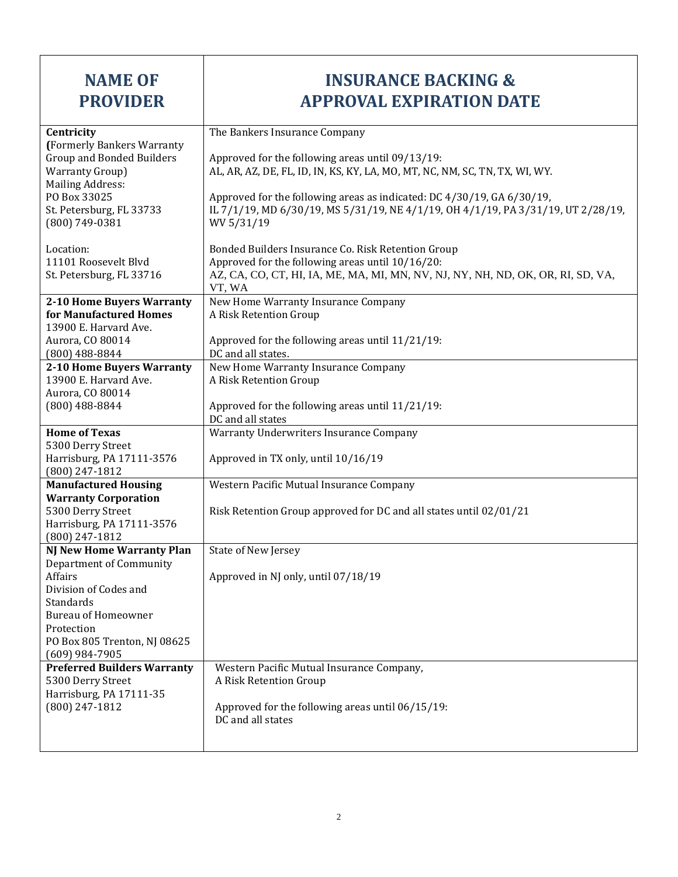| <b>NAME OF</b><br><b>PROVIDER</b>                                                                                                                                                                            | <b>INSURANCE BACKING &amp;</b><br><b>APPROVAL EXPIRATION DATE</b>                                                                                                                                                                                                                                                                            |
|--------------------------------------------------------------------------------------------------------------------------------------------------------------------------------------------------------------|----------------------------------------------------------------------------------------------------------------------------------------------------------------------------------------------------------------------------------------------------------------------------------------------------------------------------------------------|
| Centricity<br>(Formerly Bankers Warranty<br><b>Group and Bonded Builders</b><br><b>Warranty Group)</b><br><b>Mailing Address:</b><br>PO Box 33025<br>St. Petersburg, FL 33733<br>(800) 749-0381              | The Bankers Insurance Company<br>Approved for the following areas until 09/13/19:<br>AL, AR, AZ, DE, FL, ID, IN, KS, KY, LA, MO, MT, NC, NM, SC, TN, TX, WI, WY.<br>Approved for the following areas as indicated: DC 4/30/19, GA 6/30/19,<br>IL 7/1/19, MD 6/30/19, MS 5/31/19, NE 4/1/19, OH 4/1/19, PA 3/31/19, UT 2/28/19,<br>WV 5/31/19 |
| Location:<br>11101 Roosevelt Blvd<br>St. Petersburg, FL 33716                                                                                                                                                | Bonded Builders Insurance Co. Risk Retention Group<br>Approved for the following areas until 10/16/20:<br>AZ, CA, CO, CT, HI, IA, ME, MA, MI, MN, NV, NJ, NY, NH, ND, OK, OR, RI, SD, VA,<br>VT, WA                                                                                                                                          |
| 2-10 Home Buyers Warranty<br>for Manufactured Homes<br>13900 E. Harvard Ave.<br>Aurora, CO 80014<br>$(800)$ 488-8844                                                                                         | New Home Warranty Insurance Company<br>A Risk Retention Group<br>Approved for the following areas until 11/21/19:<br>DC and all states.                                                                                                                                                                                                      |
| 2-10 Home Buyers Warranty<br>13900 E. Harvard Ave.<br>Aurora, CO 80014<br>$(800)$ 488-8844                                                                                                                   | New Home Warranty Insurance Company<br>A Risk Retention Group<br>Approved for the following areas until 11/21/19:<br>DC and all states                                                                                                                                                                                                       |
| <b>Home of Texas</b><br>5300 Derry Street<br>Harrisburg, PA 17111-3576<br>(800) 247-1812                                                                                                                     | Warranty Underwriters Insurance Company<br>Approved in TX only, until 10/16/19                                                                                                                                                                                                                                                               |
| <b>Manufactured Housing</b><br><b>Warranty Corporation</b><br>5300 Derry Street<br>Harrisburg, PA 17111-3576<br>(800) 247-1812                                                                               | Western Pacific Mutual Insurance Company<br>Risk Retention Group approved for DC and all states until 02/01/21                                                                                                                                                                                                                               |
| <b>NJ New Home Warranty Plan</b><br>Department of Community<br>Affairs<br>Division of Codes and<br>Standards<br><b>Bureau of Homeowner</b><br>Protection<br>PO Box 805 Trenton, NJ 08625<br>$(609)$ 984-7905 | State of New Jersey<br>Approved in NJ only, until 07/18/19                                                                                                                                                                                                                                                                                   |
| <b>Preferred Builders Warranty</b><br>5300 Derry Street<br>Harrisburg, PA 17111-35<br>(800) 247-1812                                                                                                         | Western Pacific Mutual Insurance Company,<br>A Risk Retention Group<br>Approved for the following areas until 06/15/19:<br>DC and all states                                                                                                                                                                                                 |